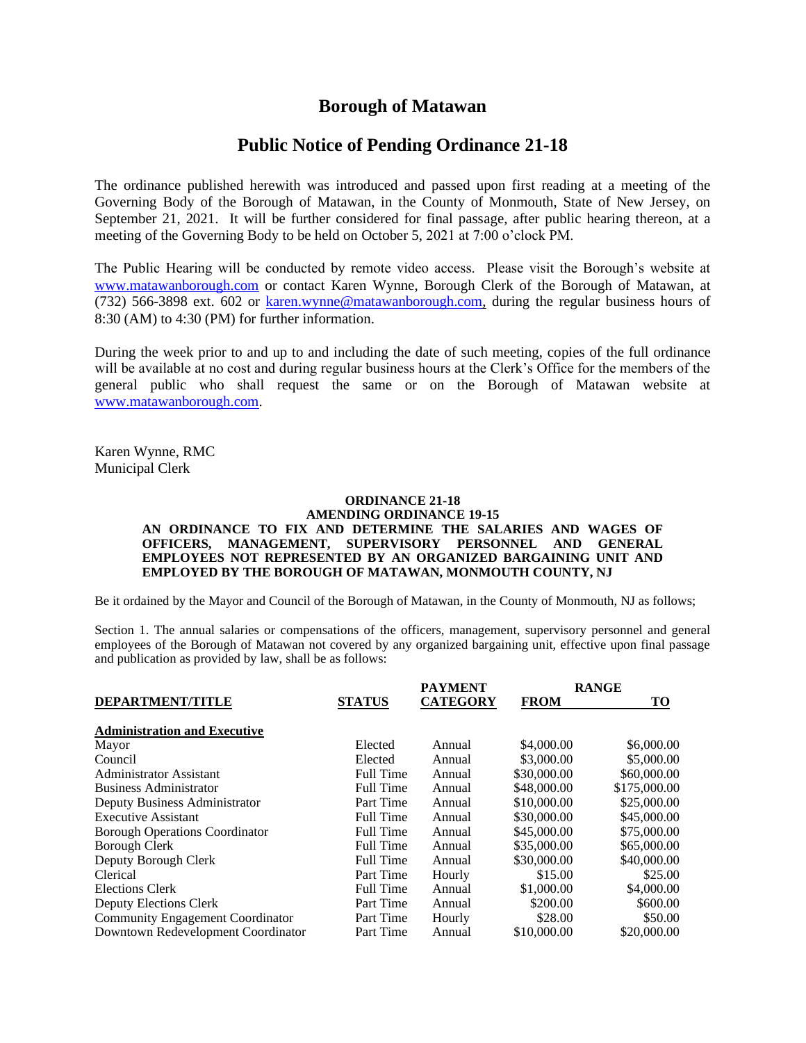## **Borough of Matawan**

## **Public Notice of Pending Ordinance 21-18**

The ordinance published herewith was introduced and passed upon first reading at a meeting of the Governing Body of the Borough of Matawan, in the County of Monmouth, State of New Jersey, on September 21, 2021. It will be further considered for final passage, after public hearing thereon, at a meeting of the Governing Body to be held on October 5, 2021 at 7:00 o'clock PM.

The Public Hearing will be conducted by remote video access. Please visit the Borough's website at [www.matawanborough.com](http://www.matawanborough.com/) or contact Karen Wynne, Borough Clerk of the Borough of Matawan, at (732) 566-3898 ext. 602 or [karen.wynne@matawanborough.com,](mailto:karen.wynne@matawanborough.com) during the regular business hours of 8:30 (AM) to 4:30 (PM) for further information.

During the week prior to and up to and including the date of such meeting, copies of the full ordinance will be available at no cost and during regular business hours at the Clerk's Office for the members of the general public who shall request the same or on the Borough of Matawan website at [www.matawanborough.com.](http://www.matawanborough.com/)

Karen Wynne, RMC Municipal Clerk

## **ORDINANCE 21-18**

## **AMENDING ORDINANCE 19-15 AN ORDINANCE TO FIX AND DETERMINE THE SALARIES AND WAGES OF OFFICERS, MANAGEMENT, SUPERVISORY PERSONNEL AND GENERAL EMPLOYEES NOT REPRESENTED BY AN ORGANIZED BARGAINING UNIT AND EMPLOYED BY THE BOROUGH OF MATAWAN, MONMOUTH COUNTY, NJ**

Be it ordained by the Mayor and Council of the Borough of Matawan, in the County of Monmouth, NJ as follows;

Section 1. The annual salaries or compensations of the officers, management, supervisory personnel and general employees of the Borough of Matawan not covered by any organized bargaining unit, effective upon final passage and publication as provided by law, shall be as follows:

| <b>DEPARTMENT/TITLE</b>               | <b>STATUS</b>    | <b>PAYMENT</b>  | <b>RANGE</b> |              |
|---------------------------------------|------------------|-----------------|--------------|--------------|
|                                       |                  | <b>CATEGORY</b> | <b>FROM</b>  | TO           |
| <b>Administration and Executive</b>   |                  |                 |              |              |
| Mayor                                 | Elected          | Annual          | \$4,000.00   | \$6,000.00   |
| Council                               | Elected          | Annual          | \$3,000.00   | \$5,000.00   |
| Administrator Assistant               | <b>Full Time</b> | Annual          | \$30,000.00  | \$60,000.00  |
| <b>Business Administrator</b>         | <b>Full Time</b> | Annual          | \$48,000.00  | \$175,000.00 |
| Deputy Business Administrator         | Part Time        | Annual          | \$10,000.00  | \$25,000.00  |
| <b>Executive Assistant</b>            | <b>Full Time</b> | Annual          | \$30,000.00  | \$45,000.00  |
| <b>Borough Operations Coordinator</b> | <b>Full Time</b> | Annual          | \$45,000.00  | \$75,000.00  |
| Borough Clerk                         | Full Time        | Annual          | \$35,000.00  | \$65,000.00  |
| Deputy Borough Clerk                  | <b>Full Time</b> | Annual          | \$30,000.00  | \$40,000.00  |
| <b>Clerical</b>                       | Part Time        | Hourly          | \$15.00      | \$25.00      |
| Elections Clerk                       | <b>Full Time</b> | Annual          | \$1,000.00   | \$4,000.00   |
| Deputy Elections Clerk                | Part Time        | Annual          | \$200.00     | \$600.00     |
| Community Engagement Coordinator      | Part Time        | Hourly          | \$28.00      | \$50.00      |
| Downtown Redevelopment Coordinator    | Part Time        | Annual          | \$10,000.00  | \$20,000.00  |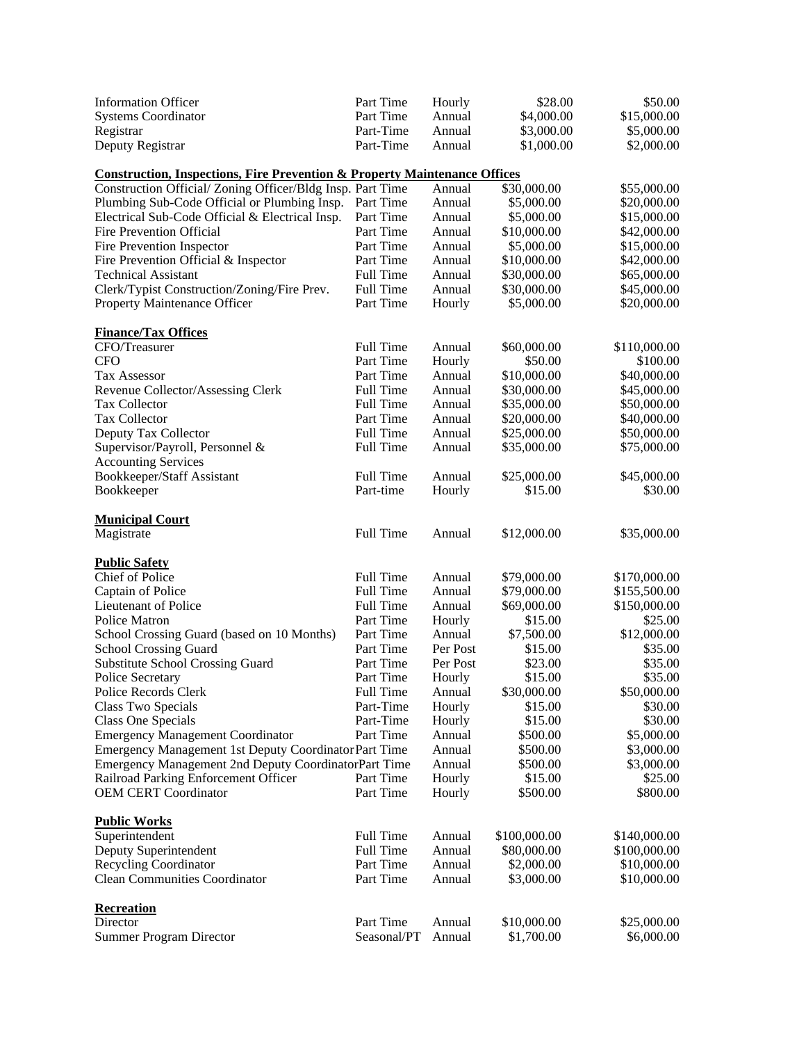| <b>Information Officer</b>                                                           | Part Time                | Hourly           | \$28.00                   | \$50.00                      |  |  |  |  |
|--------------------------------------------------------------------------------------|--------------------------|------------------|---------------------------|------------------------------|--|--|--|--|
| <b>Systems Coordinator</b>                                                           | Part Time                | Annual           | \$4,000.00                | \$15,000.00                  |  |  |  |  |
| Registrar                                                                            | Part-Time                | Annual           | \$3,000.00                | \$5,000.00                   |  |  |  |  |
| Deputy Registrar                                                                     | Part-Time                | Annual           | \$1,000.00                | \$2,000.00                   |  |  |  |  |
|                                                                                      |                          |                  |                           |                              |  |  |  |  |
| <b>Construction, Inspections, Fire Prevention &amp; Property Maintenance Offices</b> |                          |                  |                           |                              |  |  |  |  |
| Construction Official/Zoning Officer/Bldg Insp. Part Time                            |                          | Annual           | \$30,000.00               | \$55,000.00                  |  |  |  |  |
| Plumbing Sub-Code Official or Plumbing Insp.                                         | Part Time                | Annual           | \$5,000.00                | \$20,000.00                  |  |  |  |  |
| Electrical Sub-Code Official & Electrical Insp.                                      | Part Time                | Annual           | \$5,000.00                | \$15,000.00                  |  |  |  |  |
| Fire Prevention Official                                                             | Part Time                | Annual           | \$10,000.00               | \$42,000.00                  |  |  |  |  |
| Fire Prevention Inspector                                                            | Part Time                | Annual           | \$5,000.00                | \$15,000.00                  |  |  |  |  |
| Fire Prevention Official & Inspector                                                 | Part Time                | Annual           | \$10,000.00               | \$42,000.00                  |  |  |  |  |
| <b>Technical Assistant</b>                                                           | Full Time                | Annual           | \$30,000.00               | \$65,000.00                  |  |  |  |  |
| Clerk/Typist Construction/Zoning/Fire Prev.                                          | Full Time                | Annual           | \$30,000.00               | \$45,000.00                  |  |  |  |  |
| Property Maintenance Officer                                                         | Part Time                | Hourly           | \$5,000.00                | \$20,000.00                  |  |  |  |  |
|                                                                                      |                          |                  |                           |                              |  |  |  |  |
| <b>Finance/Tax Offices</b>                                                           |                          |                  |                           |                              |  |  |  |  |
| CFO/Treasurer                                                                        | Full Time                | Annual           | \$60,000.00               | \$110,000.00                 |  |  |  |  |
| <b>CFO</b>                                                                           | Part Time                | Hourly           | \$50.00                   | \$100.00                     |  |  |  |  |
| <b>Tax Assessor</b>                                                                  | Part Time                | Annual           | \$10,000.00               | \$40,000.00                  |  |  |  |  |
| Revenue Collector/Assessing Clerk                                                    | Full Time                | Annual           | \$30,000.00               | \$45,000.00                  |  |  |  |  |
| Tax Collector                                                                        | Full Time                | Annual           | \$35,000.00               | \$50,000.00                  |  |  |  |  |
| Tax Collector                                                                        | Part Time                | Annual           | \$20,000.00               | \$40,000.00                  |  |  |  |  |
| Deputy Tax Collector                                                                 | Full Time                | Annual           | \$25,000.00               | \$50,000.00                  |  |  |  |  |
| Supervisor/Payroll, Personnel &                                                      | Full Time                | Annual           | \$35,000.00               | \$75,000.00                  |  |  |  |  |
| <b>Accounting Services</b>                                                           |                          |                  |                           |                              |  |  |  |  |
| Bookkeeper/Staff Assistant                                                           | Full Time                | Annual           | \$25,000.00               | \$45,000.00                  |  |  |  |  |
| Bookkeeper                                                                           | Part-time                | Hourly           | \$15.00                   | \$30.00                      |  |  |  |  |
|                                                                                      |                          |                  |                           |                              |  |  |  |  |
| <b>Municipal Court</b>                                                               |                          |                  |                           |                              |  |  |  |  |
| Magistrate                                                                           | Full Time                | Annual           | \$12,000.00               | \$35,000.00                  |  |  |  |  |
|                                                                                      |                          |                  |                           |                              |  |  |  |  |
|                                                                                      |                          |                  |                           |                              |  |  |  |  |
| <b>Public Safety</b>                                                                 |                          |                  |                           |                              |  |  |  |  |
| Chief of Police                                                                      | Full Time                | Annual           | \$79,000.00               | \$170,000.00                 |  |  |  |  |
| Captain of Police                                                                    | Full Time                | Annual           | \$79,000.00               | \$155,500.00                 |  |  |  |  |
| Lieutenant of Police                                                                 | <b>Full Time</b>         | Annual           | \$69,000.00               | \$150,000.00                 |  |  |  |  |
| <b>Police Matron</b>                                                                 | Part Time                | Hourly           | \$15.00                   | \$25.00                      |  |  |  |  |
| School Crossing Guard (based on 10 Months)                                           | Part Time                | Annual           | \$7,500.00                | \$12,000.00                  |  |  |  |  |
| <b>School Crossing Guard</b>                                                         | Part Time                | Per Post         | \$15.00                   | \$35.00                      |  |  |  |  |
| <b>Substitute School Crossing Guard</b>                                              | Part Time                | Per Post         | \$23.00                   | \$35.00                      |  |  |  |  |
| Police Secretary                                                                     | Part Time                | Hourly           | \$15.00                   | \$35.00                      |  |  |  |  |
| Police Records Clerk                                                                 | Full Time                | Annual           | \$30,000.00               | \$50,000.00                  |  |  |  |  |
| Class Two Specials                                                                   | Part-Time                | Hourly           | \$15.00                   | \$30.00                      |  |  |  |  |
| Class One Specials                                                                   | Part-Time                | Hourly           | \$15.00                   | \$30.00                      |  |  |  |  |
| <b>Emergency Management Coordinator</b>                                              | Part Time                | Annual           | \$500.00                  | \$5,000.00                   |  |  |  |  |
| Emergency Management 1st Deputy Coordinator Part Time                                |                          | Annual           | \$500.00                  | \$3,000.00                   |  |  |  |  |
| Emergency Management 2nd Deputy CoordinatorPart Time                                 |                          | Annual           | \$500.00                  | \$3,000.00                   |  |  |  |  |
| Railroad Parking Enforcement Officer                                                 | Part Time                | Hourly           | \$15.00                   | \$25.00                      |  |  |  |  |
| <b>OEM CERT Coordinator</b>                                                          | Part Time                | Hourly           | \$500.00                  | \$800.00                     |  |  |  |  |
|                                                                                      |                          |                  |                           |                              |  |  |  |  |
| <b>Public Works</b>                                                                  |                          |                  |                           |                              |  |  |  |  |
| Superintendent                                                                       | Full Time                | Annual           | \$100,000.00              |                              |  |  |  |  |
| Deputy Superintendent                                                                | Full Time                | Annual           | \$80,000.00               | \$140,000.00<br>\$100,000.00 |  |  |  |  |
| <b>Recycling Coordinator</b>                                                         | Part Time                | Annual           | \$2,000.00                | \$10,000.00                  |  |  |  |  |
| <b>Clean Communities Coordinator</b>                                                 | Part Time                | Annual           | \$3,000.00                | \$10,000.00                  |  |  |  |  |
|                                                                                      |                          |                  |                           |                              |  |  |  |  |
| Recreation                                                                           |                          |                  |                           |                              |  |  |  |  |
| Director<br><b>Summer Program Director</b>                                           | Part Time<br>Seasonal/PT | Annual<br>Annual | \$10,000.00<br>\$1,700.00 | \$25,000.00<br>\$6,000.00    |  |  |  |  |